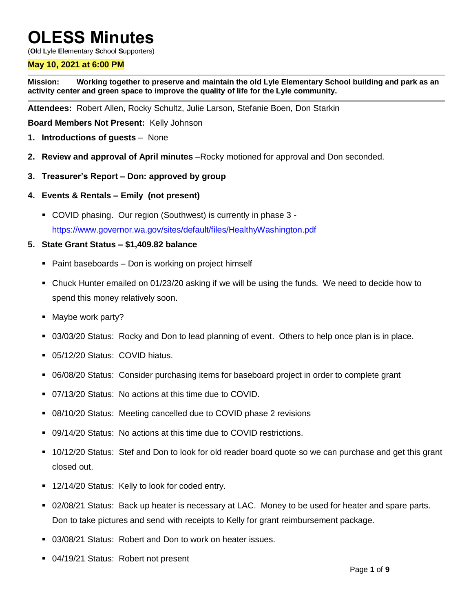# **OLESS Minutes**

(**O**ld **L**yle **E**lementary **S**chool **S**upporters)

#### **May 10, 2021 at 6:00 PM**

**Mission: Working together to preserve and maintain the old Lyle Elementary School building and park as an activity center and green space to improve the quality of life for the Lyle community.**

**Attendees:** Robert Allen, Rocky Schultz, Julie Larson, Stefanie Boen, Don Starkin

**Board Members Not Present:** Kelly Johnson

- **1. Introductions of guests** None
- **2. Review and approval of April minutes** –Rocky motioned for approval and Don seconded.
- **3. Treasurer's Report – Don: approved by group**
- **4. Events & Rentals – Emily (not present)**
	- COVID phasing. Our region (Southwest) is currently in phase 3 <https://www.governor.wa.gov/sites/default/files/HealthyWashington.pdf>

#### **5. State Grant Status – \$1,409.82 balance**

- Paint baseboards Don is working on project himself
- Chuck Hunter emailed on 01/23/20 asking if we will be using the funds. We need to decide how to spend this money relatively soon.
- Maybe work party?
- 03/03/20 Status: Rocky and Don to lead planning of event. Others to help once plan is in place.
- 05/12/20 Status: COVID hiatus.
- 06/08/20 Status: Consider purchasing items for baseboard project in order to complete grant
- 07/13/20 Status: No actions at this time due to COVID.
- 08/10/20 Status: Meeting cancelled due to COVID phase 2 revisions
- 09/14/20 Status: No actions at this time due to COVID restrictions.
- 10/12/20 Status: Stef and Don to look for old reader board quote so we can purchase and get this grant closed out.
- 12/14/20 Status: Kelly to look for coded entry.
- 02/08/21 Status: Back up heater is necessary at LAC. Money to be used for heater and spare parts. Don to take pictures and send with receipts to Kelly for grant reimbursement package.
- 03/08/21 Status: Robert and Don to work on heater issues.
- 04/19/21 Status: Robert not present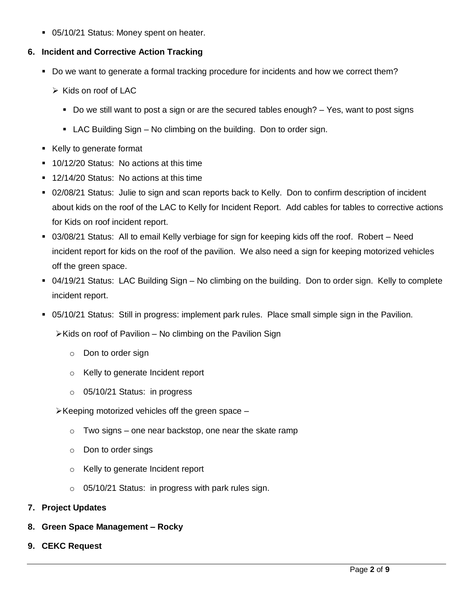05/10/21 Status: Money spent on heater.

# **6. Incident and Corrective Action Tracking**

- Do we want to generate a formal tracking procedure for incidents and how we correct them?
	- $\triangleright$  Kids on roof of LAC
		- Do we still want to post a sign or are the secured tables enough? Yes, want to post signs
		- LAC Building Sign No climbing on the building. Don to order sign.
- Kelly to generate format
- **10/12/20 Status: No actions at this time**
- **12/14/20 Status: No actions at this time**
- 02/08/21 Status: Julie to sign and scan reports back to Kelly. Don to confirm description of incident about kids on the roof of the LAC to Kelly for Incident Report. Add cables for tables to corrective actions for Kids on roof incident report.
- 03/08/21 Status: All to email Kelly verbiage for sign for keeping kids off the roof. Robert Need incident report for kids on the roof of the pavilion. We also need a sign for keeping motorized vehicles off the green space.
- 04/19/21 Status: LAC Building Sign No climbing on the building. Don to order sign. Kelly to complete incident report.
- 05/10/21 Status: Still in progress: implement park rules. Place small simple sign in the Pavilion.

 $\triangleright$  Kids on roof of Pavilion – No climbing on the Pavilion Sign

- o Don to order sign
- o Kelly to generate Incident report
- o 05/10/21 Status: in progress

 $\triangleright$  Keeping motorized vehicles off the green space –

- $\circ$  Two signs one near backstop, one near the skate ramp
- o Don to order sings
- o Kelly to generate Incident report
- o 05/10/21 Status: in progress with park rules sign.
- **7. Project Updates**
- **8. Green Space Management – Rocky**
- **9. CEKC Request**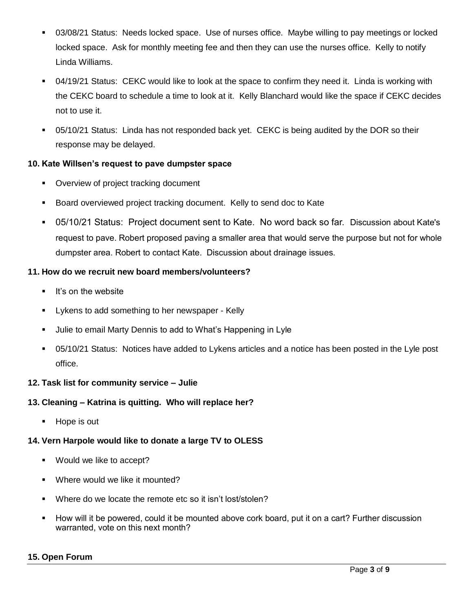- 03/08/21 Status: Needs locked space. Use of nurses office. Maybe willing to pay meetings or locked locked space. Ask for monthly meeting fee and then they can use the nurses office. Kelly to notify Linda Williams.
- 04/19/21 Status: CEKC would like to look at the space to confirm they need it. Linda is working with the CEKC board to schedule a time to look at it. Kelly Blanchard would like the space if CEKC decides not to use it.
- 05/10/21 Status: Linda has not responded back yet. CEKC is being audited by the DOR so their response may be delayed.

# **10. Kate Willsen's request to pave dumpster space**

- Overview of project tracking document
- Board overviewed project tracking document. Kelly to send doc to Kate
- 05/10/21 Status: Project document sent to Kate. No word back so far. Discussion about Kate's request to pave. Robert proposed paving a smaller area that would serve the purpose but not for whole dumpster area. Robert to contact Kate. Discussion about drainage issues.

# **11. How do we recruit new board members/volunteers?**

- $\blacksquare$  It's on the website
- Lykens to add something to her newspaper Kelly
- Julie to email Marty Dennis to add to What's Happening in Lyle
- 05/10/21 Status: Notices have added to Lykens articles and a notice has been posted in the Lyle post office.

# **12. Task list for community service – Julie**

# **13. Cleaning – Katrina is quitting. Who will replace her?**

Hope is out

# **14. Vern Harpole would like to donate a large TV to OLESS**

- Would we like to accept?
- Where would we like it mounted?
- Where do we locate the remote etc so it isn't lost/stolen?
- How will it be powered, could it be mounted above cork board, put it on a cart? Further discussion warranted, vote on this next month?

# **15. Open Forum**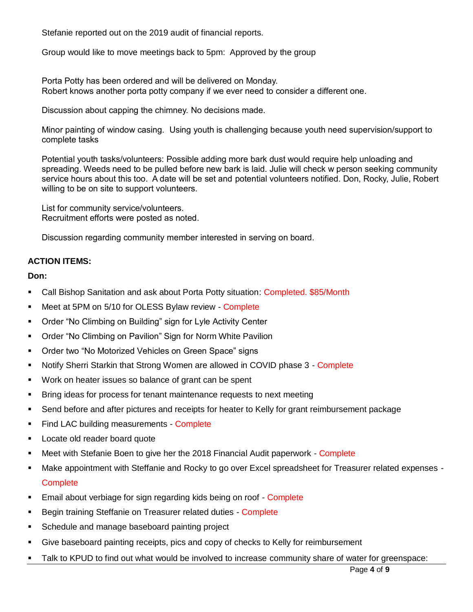Stefanie reported out on the 2019 audit of financial reports.

Group would like to move meetings back to 5pm: Approved by the group

Porta Potty has been ordered and will be delivered on Monday. Robert knows another porta potty company if we ever need to consider a different one.

Discussion about capping the chimney. No decisions made.

Minor painting of window casing. Using youth is challenging because youth need supervision/support to complete tasks

Potential youth tasks/volunteers: Possible adding more bark dust would require help unloading and spreading. Weeds need to be pulled before new bark is laid. Julie will check w person seeking community service hours about this too. A date will be set and potential volunteers notified. Don, Rocky, Julie, Robert willing to be on site to support volunteers.

List for community service/volunteers. Recruitment efforts were posted as noted.

Discussion regarding community member interested in serving on board.

# **ACTION ITEMS:**

**Don:**

- Call Bishop Sanitation and ask about Porta Potty situation: Completed. \$85/Month
- **Meet at 5PM on 5/10 for OLESS Bylaw review Complete**
- **Order "No Climbing on Building" sign for Lyle Activity Center**
- Order "No Climbing on Pavilion" Sign for Norm White Pavilion
- **Order two "No Motorized Vehicles on Green Space" signs**
- **Notify Sherri Starkin that Strong Women are allowed in COVID phase 3 Complete**
- **Work on heater issues so balance of grant can be spent**
- **Bring ideas for process for tenant maintenance requests to next meeting**
- Send before and after pictures and receipts for heater to Kelly for grant reimbursement package
- **Find LAC building measurements Complete**
- Locate old reader board quote
- Meet with Stefanie Boen to give her the 2018 Financial Audit paperwork Complete
- Make appointment with Steffanie and Rocky to go over Excel spreadsheet for Treasurer related expenses **Complete**
- **Email about verbiage for sign regarding kids being on roof Complete**
- Begin training Steffanie on Treasurer related duties Complete
- **Schedule and manage baseboard painting project**
- Give baseboard painting receipts, pics and copy of checks to Kelly for reimbursement
- Talk to KPUD to find out what would be involved to increase community share of water for greenspace: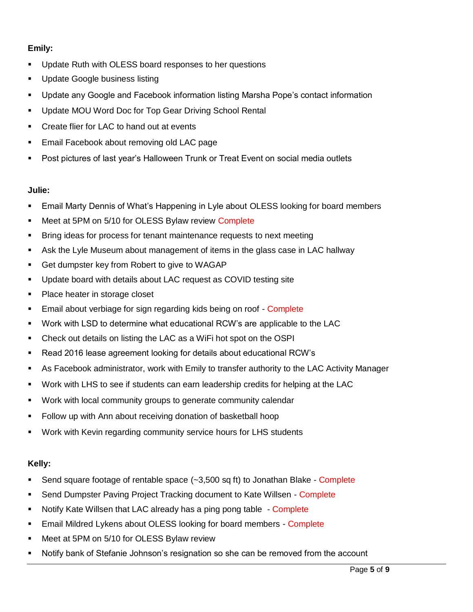# **Emily:**

- **Update Ruth with OLESS board responses to her questions**
- **Update Google business listing**
- Update any Google and Facebook information listing Marsha Pope's contact information
- **Update MOU Word Doc for Top Gear Driving School Rental**
- **•** Create flier for LAC to hand out at events
- **Email Facebook about removing old LAC page**
- Post pictures of last year's Halloween Trunk or Treat Event on social media outlets

#### **Julie:**

- Email Marty Dennis of What's Happening in Lyle about OLESS looking for board members
- Meet at 5PM on 5/10 for OLESS Bylaw review Complete
- **Bring ideas for process for tenant maintenance requests to next meeting**
- Ask the Lyle Museum about management of items in the glass case in LAC hallway
- Get dumpster key from Robert to give to WAGAP
- Update board with details about LAC request as COVID testing site
- Place heater in storage closet
- **Email about verbiage for sign regarding kids being on roof Complete**
- Work with LSD to determine what educational RCW's are applicable to the LAC
- Check out details on listing the LAC as a WiFi hot spot on the OSPI
- Read 2016 lease agreement looking for details about educational RCW's
- As Facebook administrator, work with Emily to transfer authority to the LAC Activity Manager
- Work with LHS to see if students can earn leadership credits for helping at the LAC
- **Work with local community groups to generate community calendar**
- Follow up with Ann about receiving donation of basketball hoop
- Work with Kevin regarding community service hours for LHS students

# **Kelly:**

- Send square footage of rentable space (~3,500 sq ft) to Jonathan Blake Complete
- **Send Dumpster Paving Project Tracking document to Kate Willsen Complete**
- Notify Kate Willsen that LAC already has a ping pong table Complete
- Email Mildred Lykens about OLESS looking for board members Complete
- **Meet at 5PM on 5/10 for OLESS Bylaw review**
- Notify bank of Stefanie Johnson's resignation so she can be removed from the account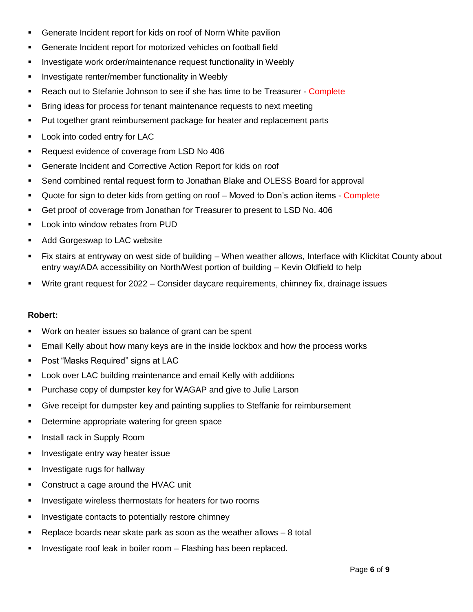- Generate Incident report for kids on roof of Norm White pavilion
- Generate Incident report for motorized vehicles on football field
- **Investigate work order/maintenance request functionality in Weebly**
- **Investigate renter/member functionality in Weebly**
- **Reach out to Stefanie Johnson to see if she has time to be Treasurer Complete**
- **Bring ideas for process for tenant maintenance requests to next meeting**
- Put together grant reimbursement package for heater and replacement parts
- **Look into coded entry for LAC**
- Request evidence of coverage from LSD No 406
- Generate Incident and Corrective Action Report for kids on roof
- Send combined rental request form to Jonathan Blake and OLESS Board for approval
- Quote for sign to deter kids from getting on roof Moved to Don's action items Complete
- Get proof of coverage from Jonathan for Treasurer to present to LSD No. 406
- **Look into window rebates from PUD**
- **Add Gorgeswap to LAC website**
- Fix stairs at entryway on west side of building When weather allows, Interface with Klickitat County about entry way/ADA accessibility on North/West portion of building – Kevin Oldfield to help
- Write grant request for 2022 Consider daycare requirements, chimney fix, drainage issues

# **Robert:**

- **Work on heater issues so balance of grant can be spent**
- Email Kelly about how many keys are in the inside lockbox and how the process works
- Post "Masks Required" signs at LAC
- Look over LAC building maintenance and email Kelly with additions
- Purchase copy of dumpster key for WAGAP and give to Julie Larson
- Give receipt for dumpster key and painting supplies to Steffanie for reimbursement
- **Determine appropriate watering for green space**
- **Install rack in Supply Room**
- **Investigate entry way heater issue**
- **Investigate rugs for hallway**
- **Construct a cage around the HVAC unit**
- **Investigate wireless thermostats for heaters for two rooms**
- **Investigate contacts to potentially restore chimney**
- Replace boards near skate park as soon as the weather allows 8 total
- Investigate roof leak in boiler room Flashing has been replaced.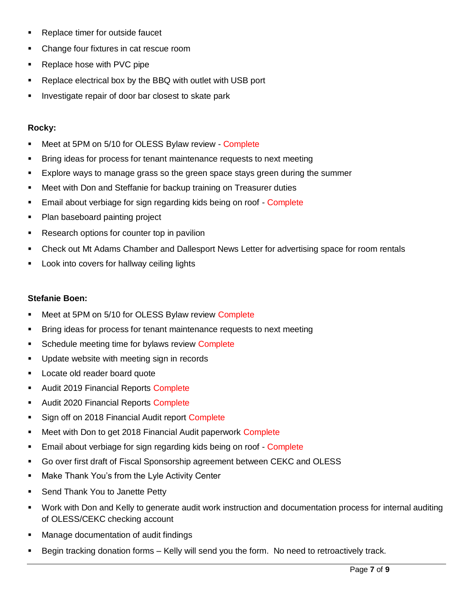- Replace timer for outside faucet
- Change four fixtures in cat rescue room
- Replace hose with PVC pipe
- **•** Replace electrical box by the BBQ with outlet with USB port
- Investigate repair of door bar closest to skate park

#### **Rocky:**

- **Meet at 5PM on 5/10 for OLESS Bylaw review Complete**
- Bring ideas for process for tenant maintenance requests to next meeting
- Explore ways to manage grass so the green space stays green during the summer
- Meet with Don and Steffanie for backup training on Treasurer duties
- **Email about verbiage for sign regarding kids being on roof Complete**
- Plan baseboard painting project
- **Research options for counter top in pavilion**
- Check out Mt Adams Chamber and Dallesport News Letter for advertising space for room rentals
- Look into covers for hallway ceiling lights

#### **Stefanie Boen:**

- Meet at 5PM on 5/10 for OLESS Bylaw review Complete
- **Bring ideas for process for tenant maintenance requests to next meeting**
- **Schedule meeting time for bylaws review Complete**
- **Update website with meeting sign in records**
- **Locate old reader board quote**
- Audit 2019 Financial Reports Complete
- Audit 2020 Financial Reports Complete
- Sign off on 2018 Financial Audit report Complete
- **Meet with Don to get 2018 Financial Audit paperwork Complete**
- **Email about verbiage for sign regarding kids being on roof Complete**
- Go over first draft of Fiscal Sponsorship agreement between CEKC and OLESS
- **Make Thank You's from the Lyle Activity Center**
- **Send Thank You to Janette Petty**
- Work with Don and Kelly to generate audit work instruction and documentation process for internal auditing of OLESS/CEKC checking account
- **Manage documentation of audit findings**
- Begin tracking donation forms Kelly will send you the form. No need to retroactively track.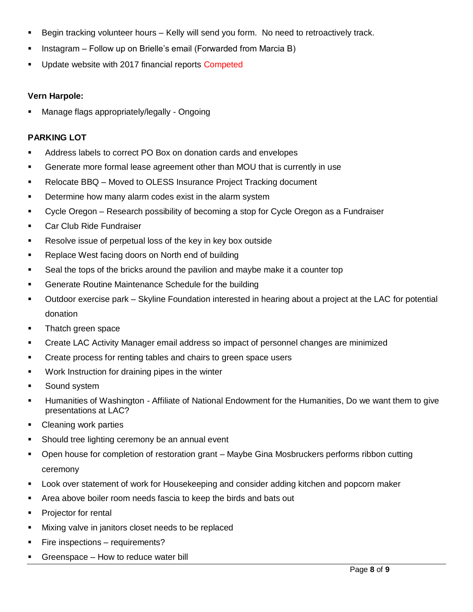- Begin tracking volunteer hours Kelly will send you form. No need to retroactively track.
- **Instagram Follow up on Brielle's email (Forwarded from Marcia B)**
- Update website with 2017 financial reports Competed

#### **Vern Harpole:**

Manage flags appropriately/legally - Ongoing

#### **PARKING LOT**

- Address labels to correct PO Box on donation cards and envelopes
- Generate more formal lease agreement other than MOU that is currently in use
- Relocate BBQ Moved to OLESS Insurance Project Tracking document
- **•** Determine how many alarm codes exist in the alarm system
- Cycle Oregon Research possibility of becoming a stop for Cycle Oregon as a Fundraiser
- **Car Club Ride Fundraiser**
- Resolve issue of perpetual loss of the key in key box outside
- **Replace West facing doors on North end of building**
- Seal the tops of the bricks around the pavilion and maybe make it a counter top
- Generate Routine Maintenance Schedule for the building
- Outdoor exercise park Skyline Foundation interested in hearing about a project at the LAC for potential donation
- Thatch green space
- Create LAC Activity Manager email address so impact of personnel changes are minimized
- **Create process for renting tables and chairs to green space users**
- **Work Instruction for draining pipes in the winter**
- **Sound system**
- Humanities of Washington Affiliate of National Endowment for the Humanities, Do we want them to give presentations at LAC?
- Cleaning work parties
- Should tree lighting ceremony be an annual event
- Open house for completion of restoration grant Maybe Gina Mosbruckers performs ribbon cutting ceremony
- Look over statement of work for Housekeeping and consider adding kitchen and popcorn maker
- Area above boiler room needs fascia to keep the birds and bats out
- Projector for rental
- **Mixing valve in janitors closet needs to be replaced**
- **Fire inspections requirements?**
- Greenspace How to reduce water bill